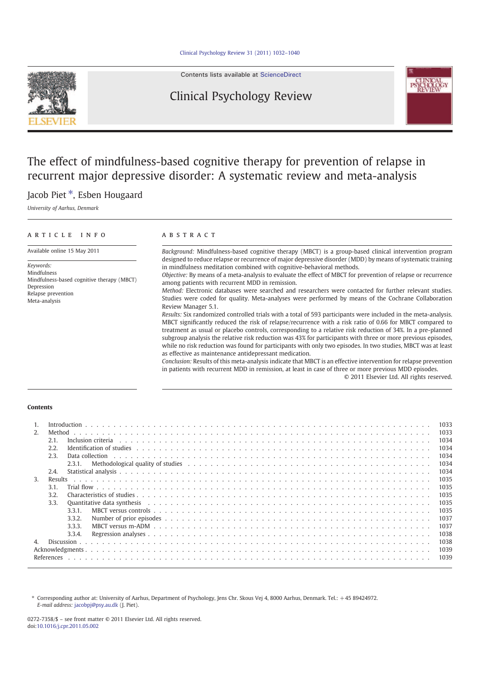

Contents lists available at ScienceDirect

# Clinical Psychology Review



# The effect of mindfulness-based cognitive therapy for prevention of relapse in recurrent major depressive disorder: A systematic review and meta-analysis

# Jacob Piet<sup>\*</sup>, Esben Hougaard

University of Aarhus, Denmark

| ARTICLE<br>INFO                                           | A B S T R A C T                                                                                                                                                                                                                                                                                                                                                                                                                                                                                                                                                                                                                     |
|-----------------------------------------------------------|-------------------------------------------------------------------------------------------------------------------------------------------------------------------------------------------------------------------------------------------------------------------------------------------------------------------------------------------------------------------------------------------------------------------------------------------------------------------------------------------------------------------------------------------------------------------------------------------------------------------------------------|
| Available online 15 May 2011                              | <i>Background:</i> Mindfulness-based cognitive therapy (MBCT) is a group-based clinical intervention program<br>designed to reduce relapse or recurrence of major depressive disorder (MDD) by means of systematic training                                                                                                                                                                                                                                                                                                                                                                                                         |
| Keywords:                                                 | in mindfulness meditation combined with cognitive-behavioral methods.                                                                                                                                                                                                                                                                                                                                                                                                                                                                                                                                                               |
| Mindfulness<br>Mindfulness-based cognitive therapy (MBCT) | Objective: By means of a meta-analysis to evaluate the effect of MBCT for prevention of relapse or recurrence<br>among patients with recurrent MDD in remission.                                                                                                                                                                                                                                                                                                                                                                                                                                                                    |
| Depression<br>Relapse prevention<br>Meta-analysis         | Method: Electronic databases were searched and researchers were contacted for further relevant studies.<br>Studies were coded for quality. Meta-analyses were performed by means of the Cochrane Collaboration<br>Review Manager 5.1.                                                                                                                                                                                                                                                                                                                                                                                               |
|                                                           | Results: Six randomized controlled trials with a total of 593 participants were included in the meta-analysis.<br>MBCT significantly reduced the risk of relapse/recurrence with a risk ratio of 0.66 for MBCT compared to<br>treatment as usual or placebo controls, corresponding to a relative risk reduction of 34%. In a pre-planned<br>subgroup analysis the relative risk reduction was 43% for participants with three or more previous episodes,<br>while no risk reduction was found for participants with only two episodes. In two studies, MBCT was at least<br>as effective as maintenance antidepressant medication. |
|                                                           | Conclusion: Results of this meta-analysis indicate that MBCT is an effective intervention for relapse prevention<br>in patients with recurrent MDD in remission, at least in case of three or more previous MDD episodes.<br>© 2011 Elsevier Ltd. All rights reserved.                                                                                                                                                                                                                                                                                                                                                              |

#### Contents

|                |                |             |                                                                                                                                |  |  |  |  |  |  |  |  |  |  | 1033 |
|----------------|----------------|-------------|--------------------------------------------------------------------------------------------------------------------------------|--|--|--|--|--|--|--|--|--|--|------|
| 2 <sub>1</sub> | Method         |             |                                                                                                                                |  |  |  |  |  |  |  |  |  |  | 1033 |
|                | 2.1.           |             | Inclusion criteria                                                                                                             |  |  |  |  |  |  |  |  |  |  | 1034 |
|                | 2.2.           |             |                                                                                                                                |  |  |  |  |  |  |  |  |  |  | 1034 |
|                | 2.3.           |             | Data collection                                                                                                                |  |  |  |  |  |  |  |  |  |  | 1034 |
|                |                | 2.3.1.      | Methodological quality of studies et al., and a series of a series of state of studies and series and series of $\mathbb{R}^n$ |  |  |  |  |  |  |  |  |  |  | 1034 |
|                | 2.4.           |             |                                                                                                                                |  |  |  |  |  |  |  |  |  |  | 1034 |
| 3.             | <b>Results</b> |             |                                                                                                                                |  |  |  |  |  |  |  |  |  |  | 1035 |
|                | 3.1            |             |                                                                                                                                |  |  |  |  |  |  |  |  |  |  | 1035 |
|                | 3.2.           |             |                                                                                                                                |  |  |  |  |  |  |  |  |  |  | 1035 |
|                | 3.3.           |             | Ouantitative data synthesis                                                                                                    |  |  |  |  |  |  |  |  |  |  | 1035 |
|                |                | 3.3.1       |                                                                                                                                |  |  |  |  |  |  |  |  |  |  | 1035 |
|                |                | 3.3.2.      |                                                                                                                                |  |  |  |  |  |  |  |  |  |  | 1037 |
|                |                | 3.3.3.      |                                                                                                                                |  |  |  |  |  |  |  |  |  |  | 1037 |
|                |                | 3.3.4.      |                                                                                                                                |  |  |  |  |  |  |  |  |  |  | 1038 |
|                |                | Discussion. |                                                                                                                                |  |  |  |  |  |  |  |  |  |  | 1038 |
|                |                |             |                                                                                                                                |  |  |  |  |  |  |  |  |  |  | 1039 |
|                | References     |             |                                                                                                                                |  |  |  |  |  |  |  |  |  |  | 1039 |
|                |                |             |                                                                                                                                |  |  |  |  |  |  |  |  |  |  |      |

⁎ Corresponding author at: University of Aarhus, Department of Psychology, Jens Chr. Skous Vej 4, 8000 Aarhus, Denmark. Tel.: +45 89424972. E-mail address: jacobpj@psy.au.dk (J. Piet).

0272-7358/\$ – see front matter © 2011 Elsevier Ltd. All rights reserved. doi:10.1016/j.cpr.2011.05.002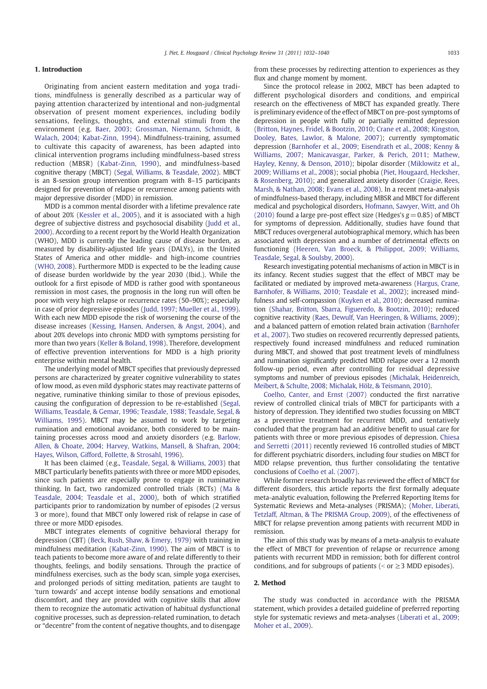## 1. Introduction

Originating from ancient eastern meditation and yoga traditions, mindfulness is generally described as a particular way of paying attention characterized by intentional and non-judgmental observation of present moment experiences, including bodily sensations, feelings, thoughts, and external stimuli from the environment (e.g. Baer, 2003; Grossman, Niemann, Schmidt, & Walach, 2004; Kabat-Zinn, 1994). Mindfulness-training, assumed to cultivate this capacity of awareness, has been adapted into clinical intervention programs including mindfulness-based stress reduction (MBSR) (Kabat-Zinn, 1990), and mindfulness-based cognitive therapy (MBCT) (Segal, Williams, & Teasdale, 2002). MBCT is an 8-session group intervention program with 8–15 participants designed for prevention of relapse or recurrence among patients with major depressive disorder (MDD) in remission.

MDD is a common mental disorder with a lifetime prevalence rate of about 20% (Kessler et al., 2005), and it is associated with a high degree of subjective distress and psychosocial disability (Judd et al., 2000). According to a recent report by the World Health Organization (WHO), MDD is currently the leading cause of disease burden, as measured by disability-adjusted life years (DALYs), in the United States of America and other middle- and high-income countries (WHO, 2008). Furthermore MDD is expected to be the leading cause of disease burden worldwide by the year 2030 (Ibid.). While the outlook for a first episode of MDD is rather good with spontaneous remission in most cases, the prognosis in the long run will often be poor with very high relapse or recurrence rates (50–90%); especially in case of prior depressive episodes (Judd, 1997; Mueller et al., 1999). With each new MDD episode the risk of worsening the course of the disease increases (Kessing, Hansen, Andersen, & Angst, 2004), and about 20% develops into chronic MDD with symptoms persisting for more than two years (Keller & Boland, 1998). Therefore, development of effective prevention interventions for MDD is a high priority enterprise within mental health.

The underlying model of MBCT specifies that previously depressed persons are characterized by greater cognitive vulnerability to states of low mood, as even mild dysphoric states may reactivate patterns of negative, ruminative thinking similar to those of previous episodes, causing the configuration of depression to be re-established (Segal, Williams, Teasdale, & Gemar, 1996; Teasdale, 1988; Teasdale, Segal, & Williams, 1995). MBCT may be assumed to work by targeting rumination and emotional avoidance, both considered to be maintaining processes across mood and anxiety disorders (e.g. Barlow, Allen, & Choate, 2004; Harvey, Watkins, Mansell, & Shafran, 2004; Hayes, Wilson, Gifford, Follette, & Strosahl, 1996).

It has been claimed (e.g., Teasdale, Segal, & Williams, 2003) that MBCT particularly benefits patients with three or more MDD episodes, since such patients are especially prone to engage in ruminative thinking. In fact, two randomized controlled trials (RCTs) (Ma & Teasdale, 2004; Teasdale et al., 2000), both of which stratified participants prior to randomization by number of episodes (2 versus 3 or more), found that MBCT only lowered risk of relapse in case of three or more MDD episodes.

MBCT integrates elements of cognitive behavioral therapy for depression (CBT) (Beck, Rush, Shaw, & Emery, 1979) with training in mindfulness meditation (Kabat-Zinn, 1990). The aim of MBCT is to teach patients to become more aware of and relate differently to their thoughts, feelings, and bodily sensations. Through the practice of mindfulness exercises, such as the body scan, simple yoga exercises, and prolonged periods of sitting meditation, patients are taught to 'turn towards' and accept intense bodily sensations and emotional discomfort, and they are provided with cognitive skills that allow them to recognize the automatic activation of habitual dysfunctional cognitive processes, such as depression-related rumination, to detach or "decentre" from the content of negative thoughts, and to disengage

from these processes by redirecting attention to experiences as they flux and change moment by moment.

Since the protocol release in 2002, MBCT has been adapted to different psychological disorders and conditions, and empirical research on the effectiveness of MBCT has expanded greatly. There is preliminary evidence of the effect of MBCT on pre-post symptoms of depression in people with fully or partially remitted depression (Britton, Haynes, Fridel, & Bootzin, 2010; Crane et al., 2008; Kingston, Dooley, Bates, Lawlor, & Malone, 2007); currently symptomatic depression (Barnhofer et al., 2009; Eisendrath et al., 2008; Kenny & Williams, 2007; Manicavasgar, Parker, & Perich, 2011; Mathew, Hayley, Kenny, & Denson, 2010); bipolar disorder (Miklowitz et al., 2009; Williams et al., 2008); social phobia (Piet, Hougaard, Hecksher, & Rosenberg, 2010); and generalized anxiety disorder (Craigie, Rees, Marsh, & Nathan, 2008; Evans et al., 2008). In a recent meta-analysis of mindfulness-based therapy, including MBSR and MBCT for different medical and psychological disorders, Hofmann, Sawyer, Witt, and Oh (2010) found a large pre-post effect size (Hedges's  $g = 0.85$ ) of MBCT for symptoms of depression. Additionally, studies have found that MBCT reduces overgeneral autobiographical memory, which has been associated with depression and a number of detrimental effects on functioning (Heeren, Van Broeck, & Philippot, 2009; Williams, Teasdale, Segal, & Soulsby, 2000).

Research investigating potential mechanisms of action in MBCT is in its infancy. Recent studies suggest that the effect of MBCT may be facilitated or mediated by improved meta-awareness (Hargus, Crane, Barnhofer, & Williams, 2010; Teasdale et al., 2002); increased mindfulness and self-compassion (Kuyken et al., 2010); decreased rumination (Shahar, Britton, Sbarra, Figueredo, & Bootzin, 2010); reduced cognitive reactivity (Raes, Dewulf, Van Heeringen, & Williams, 2009); and a balanced pattern of emotion related brain activation (Barnhofer et al., 2007). Two studies on recovered recurrently depressed patients, respectively found increased mindfulness and reduced rumination during MBCT, and showed that post treatment levels of mindfulness and rumination significantly predicted MDD relapse over a 12 month follow-up period, even after controlling for residual depressive symptoms and number of previous episodes (Michalak, Heidenreich, Meibert, & Schulte, 2008; Michalak, Hölz, & Teismann, 2010).

Coelho, Canter, and Ernst (2007) conducted the first narrative review of controlled clinical trials of MBCT for participants with a history of depression. They identified two studies focussing on MBCT as a preventive treatment for recurrent MDD, and tentatively concluded that the program had an additive benefit to usual care for patients with three or more previous episodes of depression. Chiesa and Serretti (2011) recently reviewed 16 controlled studies of MBCT for different psychiatric disorders, including four studies on MBCT for MDD relapse prevention, thus further consolidating the tentative conclusions of Coelho et al. (2007).

While former research broadly has reviewed the effect of MBCT for different disorders, this article reports the first formally adequate meta-analytic evaluation, following the Preferred Reporting Items for Systematic Reviews and Meta-analyses (PRISMA); (Moher, Liberati, Tetzlaff, Altman, & The PRISMA Group, 2009), of the effectiveness of MBCT for relapse prevention among patients with recurrent MDD in remission.

The aim of this study was by means of a meta-analysis to evaluate the effect of MBCT for prevention of relapse or recurrence among patients with recurrent MDD in remission; both for different control conditions, and for subgroups of patients ( $\le$  or  $\ge$  3 MDD episodes).

## 2. Method

The study was conducted in accordance with the PRISMA statement, which provides a detailed guideline of preferred reporting style for systematic reviews and meta-analyses (Liberati et al., 2009; Moher et al., 2009).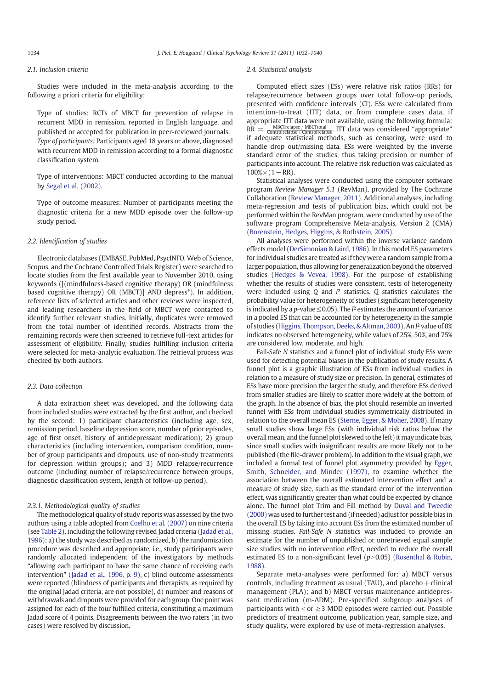## 2.1. Inclusion criteria

Studies were included in the meta-analysis according to the following a priori criteria for eligibility:

Type of studies: RCTs of MBCT for prevention of relapse in recurrent MDD in remission, reported in English language, and published or accepted for publication in peer-reviewed journals. Type of participants: Participants aged 18 years or above, diagnosed with recurrent MDD in remission according to a formal diagnostic classification system.

Type of interventions: MBCT conducted according to the manual by Segal et al. (2002).

Type of outcome measures: Number of participants meeting the diagnostic criteria for a new MDD episode over the follow-up study period.

#### 2.2. Identification of studies

Electronic databases (EMBASE, PubMed, PsycINFO, Web of Science, Scopus, and the Cochrane Controlled Trials Register) were searched to locate studies from the first available year to November 2010, using keywords ([(mindfulness-based cognitive therapy) OR (mindfulness based cognitive therapy) OR (MBCT)] AND depress\*). In addition, reference lists of selected articles and other reviews were inspected, and leading researchers in the field of MBCT were contacted to identify further relevant studies. Initially, duplicates were removed from the total number of identified records. Abstracts from the remaining records were then screened to retrieve full-text articles for assessment of eligibility. Finally, studies fulfilling inclusion criteria were selected for meta-analytic evaluation. The retrieval process was checked by both authors.

#### 2.3. Data collection

A data extraction sheet was developed, and the following data from included studies were extracted by the first author, and checked by the second: 1) participant characteristics (including age, sex, remission period, baseline depression score, number of prior episodes, age of first onset, history of antidepressant medication); 2) group characteristics (including intervention, comparison condition, number of group participants and dropouts, use of non-study treatments for depression within groups); and 3) MDD relapse/recurrence outcome (including number of relapse/recurrence between groups, diagnostic classification system, length of follow-up period).

# 2.3.1. Methodological quality of studies

The methodological quality of study reports was assessed by the two authors using a table adopted from Coelho et al. (2007) on nine criteria (see Table 2), including the following revised Jadad criteria (Jadad et al., 1996): a) the study was described as randomized, b) the randomization procedure was described and appropriate, i.e., study participants were randomly allocated independent of the investigators by methods "allowing each participant to have the same chance of receiving each intervention" (Jadad et al., 1996, p. 9), c) blind outcome assessments were reported (blindness of participants and therapists, as required by the original Jadad criteria, are not possible), d) number and reasons of withdrawals and dropouts were provided for each group. One point was assigned for each of the four fulfilled criteria, constituting a maximum Jadad score of 4 points. Disagreements between the two raters (in two cases) were resolved by discussion.

#### 2.4. Statistical analysis

Computed effect sizes (ESs) were relative risk ratios (RRs) for relapse/recurrence between groups over total follow-up periods, presented with confidence intervals (CI). ESs were calculated from intention-to-treat (ITT) data, or from complete cases data, if appropriate ITT data were not available, using the following formula:  $RR = \frac{MBCT$ relapse / MBCTtotal<br> $RR = \frac{MBCT$ relapse / Controlrelapse. ITT data was considered "appropriate" if adequate statistical methods, such as censoring, were used to handle drop out/missing data. ESs were weighted by the inverse standard error of the studies, thus taking precision or number of participants into account. The relative risk reduction was calculated as  $100\% \times (1 - RR)$ .

Statistical analyses were conducted using the computer software program Review Manager 5.1 (RevMan), provided by The Cochrane Collaboration (Review Manager, 2011). Additional analyses, including meta-regression and tests of publication bias, which could not be performed within the RevMan program, were conducted by use of the software program Comprehensive Meta-analysis, Version 2 (CMA) (Borenstein, Hedges, Higgins, & Rothstein, 2005).

All analyses were performed within the inverse variance random effects model (DerSimonian & Laird, 1986). In this model ES parameters for individual studies are treated as if they were a random sample from a larger population, thus allowing for generalization beyond the observed studies (Hedges & Vevea, 1998). For the purpose of establishing whether the results of studies were consistent, tests of heterogeneity were included using  $Q$  and  $I<sup>2</sup>$  statistics. O statistics calculates the probability value for heterogeneity of studies (significant heterogeneity is indicated by a *p*-value  $\leq$  0.05). The  $I<sup>2</sup>$  estimates the amount of variance in a pooled ES that can be accounted for by heterogeneity in the sample of studies (Higgins, Thompson, Deeks, & Altman, 2003). An I² value of 0% indicates no observed heterogeneity, while values of 25%, 50%, and 75% are considered low, moderate, and high.

Fail-Safe N statistics and a funnel plot of individual study ESs were used for detecting potential biases in the publication of study results. A funnel plot is a graphic illustration of ESs from individual studies in relation to a measure of study size or precision. In general, estimates of ESs have more precision the larger the study, and therefore ESs derived from smaller studies are likely to scatter more widely at the bottom of the graph. In the absence of bias, the plot should resemble an inverted funnel with ESs from individual studies symmetrically distributed in relation to the overall mean ES (Sterne, Egger, & Moher, 2008). If many small studies show large ESs (with individual risk ratios below the overall mean, and the funnel plot skewed to the left) it may indicate bias, since small studies with insignificant results are more likely not to be published (the file-drawer problem). In addition to the visual graph, we included a formal test of funnel plot asymmetry provided by Egger, Smith, Schneider, and Minder (1997), to examine whether the association between the overall estimated intervention effect and a measure of study size, such as the standard error of the intervention effect, was significantly greater than what could be expected by chance alone. The funnel plot Trim and Fill method by Duval and Tweedie (2000) was used to further test and (if needed) adjust for possible bias in the overall ES by taking into account ESs from the estimated number of missing studies. Fail-Safe N statistics was included to provide an estimate for the number of unpublished or unretrieved equal sample size studies with no intervention effect, needed to reduce the overall estimated ES to a non-significant level  $(p>0.05)$  (Rosenthal & Rubin, 1988).

Separate meta-analyses were performed for: a) MBCT versus controls, including treatment as usual (TAU), and placebo  $+$  clinical management (PLA); and b) MBCT versus maintenance antidepressant medication (m-ADM). Pre-specified subgroup analyses of participants with  $\le$  or  $\ge$  3 MDD episodes were carried out. Possible predictors of treatment outcome, publication year, sample size, and study quality, were explored by use of meta-regression analyses.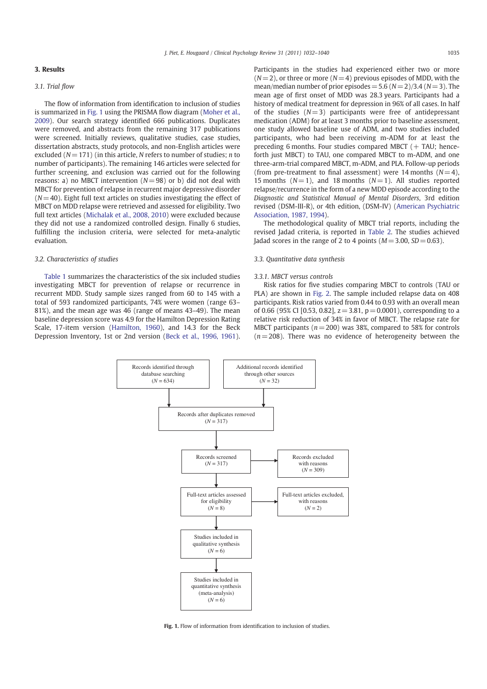# 3. Results

#### 3.1. Trial flow

The flow of information from identification to inclusion of studies is summarized in Fig. 1 using the PRISMA flow diagram (Moher et al., 2009). Our search strategy identified 666 publications. Duplicates were removed, and abstracts from the remaining 317 publications were screened. Initially reviews, qualitative studies, case studies, dissertation abstracts, study protocols, and non-English articles were excluded ( $N= 171$ ) (in this article, N refers to number of studies; n to number of participants). The remaining 146 articles were selected for further screening, and exclusion was carried out for the following reasons: a) no MBCT intervention  $(N= 98)$  or b) did not deal with MBCT for prevention of relapse in recurrent major depressive disorder  $(N= 40)$ . Eight full text articles on studies investigating the effect of MBCT on MDD relapse were retrieved and assessed for eligibility. Two full text articles (Michalak et al., 2008, 2010) were excluded because they did not use a randomized controlled design. Finally 6 studies, fulfilling the inclusion criteria, were selected for meta-analytic evaluation.

#### 3.2. Characteristics of studies

Table 1 summarizes the characteristics of the six included studies investigating MBCT for prevention of relapse or recurrence in recurrent MDD. Study sample sizes ranged from 60 to 145 with a total of 593 randomized participants, 74% were women (range 63– 81%), and the mean age was 46 (range of means 43–49). The mean baseline depression score was 4.9 for the Hamilton Depression Rating Scale, 17-item version (Hamilton, 1960), and 14.3 for the Beck Depression Inventory, 1st or 2nd version (Beck et al., 1996, 1961).  $(N= 2)$ , or three or more  $(N= 4)$  previous episodes of MDD, with the mean/median number of prior episodes =  $5.6 (N= 2)/3.4 (N= 3)$ . The mean age of first onset of MDD was 28.3 years. Participants had a history of medical treatment for depression in 96% of all cases. In half of the studies  $(N=3)$  participants were free of antidepressant medication (ADM) for at least 3 months prior to baseline assessment, one study allowed baseline use of ADM, and two studies included participants, who had been receiving m-ADM for at least the preceding 6 months. Four studies compared MBCT (+ TAU; henceforth just MBCT) to TAU, one compared MBCT to m-ADM, and one three-arm-trial compared MBCT, m-ADM, and PLA. Follow-up periods (from pre-treatment to final assessment) were 14 months  $(N= 4)$ , 15 months ( $N=1$ ), and 18 months ( $N=1$ ). All studies reported relapse/recurrence in the form of a new MDD episode according to the Diagnostic and Statistical Manual of Mental Disorders, 3rd edition revised (DSM-III-R), or 4th edition, (DSM-IV) (American Psychiatric Association, 1987, 1994).

The methodological quality of MBCT trial reports, including the revised Jadad criteria, is reported in Table 2. The studies achieved Jadad scores in the range of 2 to 4 points ( $M = 3.00$ ,  $SD = 0.63$ ).

#### 3.3. Quantitative data synthesis

#### 3.3.1. MBCT versus controls

Risk ratios for five studies comparing MBCT to controls (TAU or PLA) are shown in Fig. 2. The sample included relapse data on 408 participants. Risk ratios varied from 0.44 to 0.93 with an overall mean of 0.66 (95% CI [0.53, 0.82],  $z = 3.81$ ,  $p = 0.0001$ ), corresponding to a relative risk reduction of 34% in favor of MBCT. The relapse rate for MBCT participants ( $n = 200$ ) was 38%, compared to 58% for controls  $(n= 208)$ . There was no evidence of heterogeneity between the



Fig. 1. Flow of information from identification to inclusion of studies.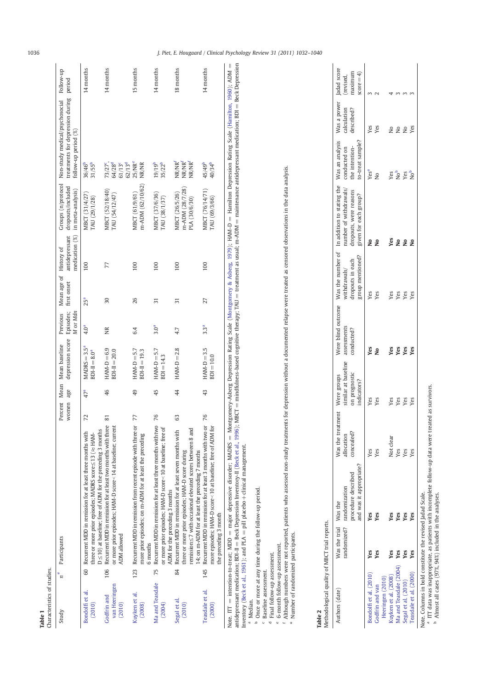|                          | ţ<br>Ĭ |
|--------------------------|--------|
| $\overline{\phantom{0}}$ |        |
| ≗                        | さいい    |
| ≏                        | Ļ      |
| £                        | ι      |

| tics<br>÷<br>Ě<br>ř<br>ţ<br>Ξ |  |
|-------------------------------|--|

| Study                                  |     | Participants                                                                                                                                                                                                                                                                                                                                                                                                                                                                                                                          | Percent<br>women | age             | depression score<br>Mean Mean baseline | Episodes;<br>M or Mdn<br>Previous | Mean age of History of<br>first onset | antidepressant<br>medication (%) | Groups (n/protocol<br>dropouts/included<br>in meta-analysis) | treatments for depression during<br>Non-study medical/psychosocial<br>follow-up period (%) | Follow-up<br>period |
|----------------------------------------|-----|---------------------------------------------------------------------------------------------------------------------------------------------------------------------------------------------------------------------------------------------------------------------------------------------------------------------------------------------------------------------------------------------------------------------------------------------------------------------------------------------------------------------------------------|------------------|-----------------|----------------------------------------|-----------------------------------|---------------------------------------|----------------------------------|--------------------------------------------------------------|--------------------------------------------------------------------------------------------|---------------------|
| Bondolfi et al.<br>(2010)              | 60  | $D \leq 10$ ) at baseline; free of ADM for the preceding 3 months<br>Recurrent MDD in remission for at least three months with<br>three or more prior episodes; MADRS score ≤ 13 (≈ HAM-                                                                                                                                                                                                                                                                                                                                              | 72               | 47 <sup>a</sup> | $MADRS = 3.5a$<br>$BDI-II = 8.0a$      | 4.0 <sup>a</sup>                  | 25 <sup>a</sup>                       | 100                              | MBCT (31/4/27)<br>TAU (29/1/28)                              | $31/55^{b}$<br>36/46 <sup>b</sup>                                                          | 14 months           |
| van Heeringen<br>Godfrin and<br>(2010) | 106 | Recurrent MDD in remission for at least two months with three<br>or more prior episodes; HAM-D score< 14 at baseline; current<br>ADM allowed                                                                                                                                                                                                                                                                                                                                                                                          | 81               | 46              | $HAM-D=6.9$<br>$BDI-II = 20.0$         | Ĕ                                 | 30                                    | 77                               | MBCT (52/18/40)<br>TAU (54/12/47)                            | 64/28 <sup>d</sup><br>73/27 <sup>c</sup> ,<br>62/13 <sup>d</sup><br>61/13 <sup>c</sup>     | 14 months           |
| Kuyken et al.<br>(2008)                | 123 | Recurrent MDD in remission from recent episode with three or<br>more prior episodes; on m-ADM for at least the preceding<br>6 months                                                                                                                                                                                                                                                                                                                                                                                                  | 77               | 49              | $HAM-D = 5.7$<br>$BDI-II = 19.3$       | 6.4                               | 26                                    | 100                              | m-ADM (62/10/62)<br>MBCT (61/9/61)                           | 25/NR <sup>e</sup><br><b>NR/NR</b>                                                         | 15 months           |
| Ma and Teasdale<br>(2004)              | 75  | Recurrent MDD in remission for at least three months with two<br>or more prior episodes; HAM-D score<10 at baseline; free of<br>ADM for the preceding 3 months                                                                                                                                                                                                                                                                                                                                                                        | 76               | 45              | $HAM-D = 5.7$<br>$BDI = 14.3$          | 3.0 <sup>a</sup>                  | 57                                    | 100                              | MBCT (37/6/36)<br>TAU (38/1/37)                              | $35/22^{b}$<br>19/19 <sup>b</sup>                                                          | 14 months           |
| Segal et al.<br>(2010)                 | 84  | remission $\leq$ 7 with occasional elevated scores between 8 and<br>Recurrent MDD in remission for at least seven months with<br>three or more prior episodes; HAM-D score during<br>14; on m-ADM for at least the preceding 7 months                                                                                                                                                                                                                                                                                                 | යි               | $\overline{4}$  | $HAM-D = 2.8$                          | 4.7                               | 51                                    | 100                              | m-ADM (28/7/28)<br>MBCT (26/5/26)<br>PLA (30/6/30)           | NR/NR <sup>f</sup><br>NR/NR <sup>f</sup><br>NR/NR <sup>f</sup>                             | 18 months           |
| Teasdale et al.<br>(2000)              | 145 | Recurrent MDD in remission for at least 3 months with two or<br>more episodes; HAM-D score<10 at baseline; free of ADM for<br>the preceding 3 month                                                                                                                                                                                                                                                                                                                                                                                   | 76               | 43              | $HAM-D = 3.5$<br>$BDI = 10.0$          | 3.3 <sup>a</sup>                  | 27                                    | 100                              | MBCT (76/14/71)<br>TAU (69/3/66)                             | 45/49 <sup>b</sup><br>40/34 <sup>b</sup>                                                   | 14 months           |
|                                        |     | antidepressant medication; BDI-II = Beck Depression Inventory-II (Beck et al., 1996); MBCT = mindfulness-based cognitive therapy; TAU = treatment as usual; m-ADM = maintenance antidepressant medication; BDI = Beck Depressi<br>Note. ITT = intention-to-treat; MDD = major depressive disorder; MADRS = Montgomery-Asberg Depression Rating Scale (Montgomery & Asberg, 1979); HAM-D = Hamilton Depression Rating Scale (Hamilton, 1960); ADM =<br>Inventory (Reck et al. 1961), and PLA $-$ nill placebo- $+$ clinical management |                  |                 |                                        |                                   |                                       |                                  |                                                              |                                                                                            |                     |

Inventory (Beck et al., 1961); and PLA = pill placebo + clinical management.<br><sup>a</sup> Median.<br><sup>b</sup> Once or more at any time during the follow-up period.<br>d Faseline assessment.<br>e G-month follow-up assessment.<br>f Although numbers w agement. al., 1961); and PLA  $=$  pill placebo  $+$  clin Note. ITT = ir<br>antidepressant<br>Inventory (Bec <sup>a</sup> Median.

<sup>b</sup> Once or more at any time during the follow-up period.

<sup>c</sup> Baseline assessment.

<sup>d</sup> Final follow-up assessment.

<sup>e</sup> 6-month follow-up assessment.

, whould nuivie the assuming.<br>I Although numbers were not reported, patients who assessed non-study treatments for depression without a documented relapse were treated as censored observations in the data analysis.<br>\* Numbe

Number of randomized participants.

# Table 2<br>Methodological quality of MBCT trial reports. Methodological quality of MBCT trial reports.

| Authors (date)         | Was the trial Was the | randomized? randomization | Was the treatment Were groups<br>llocation | similar at baseline | Were blind outcome<br>assessments | withdrawals/     | Was the number of In addition to stating the Was an analysis Was a power<br>number of withdrawals/ conducted on |                   | calculation     |  |
|------------------------|-----------------------|---------------------------|--------------------------------------------|---------------------|-----------------------------------|------------------|-----------------------------------------------------------------------------------------------------------------|-------------------|-----------------|--|
|                        |                       | vrocedure described       | oncealed?                                  | on prognostic       | conducted?                        | dropouts in each | dropouts, were reasons                                                                                          | the intention-    | described?      |  |
|                        |                       | and was it appropriate?   |                                            | indicators?         |                                   | group mentioned? | given for each group?                                                                                           | to-treat sample?  |                 |  |
| 3ondolfi et al. (2010) | Yes                   | Yes                       | Yes                                        | Yes                 | ٧es                               | Yes              |                                                                                                                 | Yes <sup>a</sup>  |                 |  |
| Godfrin and van        | Yes                   | Yes                       | Yes                                        | Yes                 | ş                                 | Yes              | ş                                                                                                               | $\frac{1}{2}$     | yes<br>Yes      |  |
| Heeringen (2010)       |                       |                           |                                            |                     |                                   |                  |                                                                                                                 |                   |                 |  |
| (uyken et al. (2008)   | <b>Yes</b>            | les                       |                                            | Yes                 | Č٤                                | Yes              | Уes                                                                                                             | ŕ                 | å               |  |
| Aa and Teasdale (2004) | Yes                   | Ves                       | Yes                                        | Yes<br>Yes          | yes<br>Yes                        | Yes              | ş                                                                                                               | Pes<br>Pes<br>Not |                 |  |
| segal et al. (2010)    | š                     | Yes                       | Yes                                        |                     |                                   | Yes              | ş                                                                                                               |                   | 22 <sup>o</sup> |  |
| Teasdale et al. (2000) | yes                   | Ves                       | Yes                                        | yes                 | Š                                 | Yes              | ۶                                                                                                               |                   |                 |  |

Was an analysis Was a power Jadad score<br>conducted on calculation (revised,

Jadad score

maximum  $score = 4$ )

 $\overline{4}$ 

mmm

 $\frac{1}{2}$ 

maximum

> Note. Columns in bold constitute the revised Jadad Scale. Note. Columns in bold constitute the revised Jadad Scale.

 $^{\rm a}$  ITT data was inappropriate, as patients with incomplete follow-up data were treated as survivors.<br> $^{\rm b}$  Almost all cases (97%, 94%) included in the analyses. ITT data was inappropriate, as patients with incomplete follow-up data were treated as survivors. b Almost all cases (97%, 94%) included in the analyses.

# 1036 J. Piet, E. Hougaard / Clinical Psychology Review 31 (2011) 1032–1040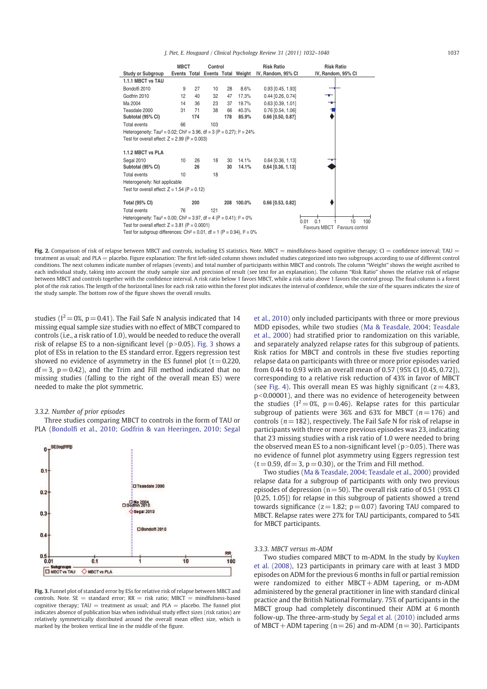J. Piet, E. Hougaard / Clinical Psychology Review 31 (2011) 1032–1040 1037

|                                                                                                  | <b>MBCT</b> |     | Control |     |                                  | <b>Risk Ratio</b>   | <b>Risk Ratio</b>               |
|--------------------------------------------------------------------------------------------------|-------------|-----|---------|-----|----------------------------------|---------------------|---------------------------------|
| <b>Study or Subgroup</b>                                                                         |             |     |         |     | Events Total Events Total Weight | IV, Random, 95% CI  | IV, Random, 95% CI              |
| 1.1.1 MBCT vs TAU                                                                                |             |     |         |     |                                  |                     |                                 |
|                                                                                                  |             |     |         |     |                                  |                     |                                 |
| Bondolfi 2010                                                                                    | 9           | 27  | 10      | 28  | 8.6%                             | $0.93$ [0.45, 1.93] |                                 |
| Godfrin 2010                                                                                     | 12          | 40  | 32      | 47  | 17.3%                            | $0.44$ [0.26, 0.74] | ╼                               |
| Ma 2004                                                                                          | 14          | 36  | 23      | 37  | 19.7%                            | $0.63$ [0.39, 1.01] |                                 |
| Teasdale 2000                                                                                    | 31          | 71  | 38      | 66  | 40.3%                            | 0.76 [0.54, 1.06]   |                                 |
| Subtotal (95% CI)                                                                                |             | 174 |         | 178 | 85.9%                            | $0.66$ [0.50, 0.87] |                                 |
| <b>Total events</b>                                                                              | 66          |     | 103     |     |                                  |                     |                                 |
| Heterogeneity: Tau <sup>2</sup> = 0.02; Chi <sup>2</sup> = 3.96, df = 3 (P = 0.27); $l^2 = 24\%$ |             |     |         |     |                                  |                     |                                 |
| Test for overall effect: $Z = 2.99$ (P = 0.003)                                                  |             |     |         |     |                                  |                     |                                 |
| 1.1.2 MBCT vs PLA                                                                                |             |     |         |     |                                  |                     |                                 |
| Segal 2010                                                                                       | 10          | 26  | 18      | 30  | 14.1%                            | $0.64$ [0.36, 1.13] |                                 |
| Subtotal (95% CI)                                                                                |             | 26  |         | 30  | 14.1%                            | $0.64$ [0.36, 1.13] |                                 |
| <b>Total events</b>                                                                              | 10          |     | 18      |     |                                  |                     |                                 |
| Heterogeneity: Not applicable                                                                    |             |     |         |     |                                  |                     |                                 |
| Test for overall effect: $Z = 1.54$ (P = 0.12)                                                   |             |     |         |     |                                  |                     |                                 |
| <b>Total (95% CI)</b>                                                                            |             | 200 |         |     | 208 100.0%                       | $0.66$ [0.53, 0.82] |                                 |
| <b>Total events</b>                                                                              | 76          |     | 121     |     |                                  |                     |                                 |
| Heterogeneity: Tau <sup>2</sup> = 0.00; Chi <sup>2</sup> = 3.97, df = 4 (P = 0.41); $l^2 = 0\%$  |             |     |         |     |                                  |                     |                                 |
| Test for overall effect: $Z = 3.81$ (P = 0.0001)                                                 |             |     |         |     |                                  |                     | 0.1<br>100<br>0.01<br>10        |
|                                                                                                  |             |     |         |     |                                  |                     | Favours MBCT<br>Favours control |
| Test for subgroup differences: Chi <sup>2</sup> = 0.01, df = 1 (P = 0.94), $I^2 = 0\%$           |             |     |         |     |                                  |                     |                                 |

Fig. 2. Comparison of risk of relapse between MBCT and controls, including ES statistics. Note. MBCT = mindfulness-based cognitive therapy; CI = confidence interval; TAU = treatment as usual; and PLA = placebo. Figure explanation: The first left-sided column shows included studies categorized into two subgroups according to use of different control conditions. The next columns indicate number of relapses (events) and total number of participants within MBCT and controls. The column "Weight" shows the weight ascribed to each individual study, taking into account the study sample size and precision of result (see text for an explanation). The column "Risk Ratio" shows the relative risk of relapse between MBCT and controls together with the confidence interval. A risk ratio below 1 favors MBCT, while a risk ratio above 1 favors the control group. The final column is a forest plot of the risk ratios. The length of the horizontal lines for each risk ratio within the forest plot indicates the interval of confidence, while the size of the squares indicates the size of the study sample. The bottom row of the figure shows the overall results.

studies ( $I^2 = 0\%$ ,  $p = 0.41$ ). The Fail Safe N analysis indicated that 14 missing equal sample size studies with no effect of MBCT compared to controls (i.e., a risk ratio of 1.0), would be needed to reduce the overall risk of relapse ES to a non-significant level ( $p$  > 0.05). Fig. 3 shows a plot of ESs in relation to the ES standard error. Eggers regression test showed no evidence of asymmetry in the ES funnel plot  $(t= 0.220,$  $df = 3$ ,  $p = 0.42$ ), and the Trim and Fill method indicated that no missing studies (falling to the right of the overall mean ES) were needed to make the plot symmetric.

#### 3.3.2. Number of prior episodes

Three studies comparing MBCT to controls in the form of TAU or PLA (Bondolfi et al., 2010; Godfrin & van Heeringen, 2010; Segal



Fig. 3. Funnel plot of standard error by ESs for relative risk of relapse between MBCT and controls. Note.  $SE =$  standard error:  $RR =$  risk ratio: MBCT = mindfulness-based cognitive therapy;  $TAU =$  treatment as usual; and  $PLA =$  placebo. The funnel plot indicates absence of publication bias when individual study effect sizes (risk ratios) are relatively symmetrically distributed around the overall mean effect size, which is marked by the broken vertical line in the middle of the figure.

et al., 2010) only included participants with three or more previous MDD episodes, while two studies (Ma & Teasdale, 2004; Teasdale et al., 2000) had stratified prior to randomization on this variable, and separately analyzed relapse rates for this subgroup of patients. Risk ratios for MBCT and controls in these five studies reporting relapse data on participants with three or more prior episodes varied from 0.44 to 0.93 with an overall mean of 0.57 (95% CI [0.45, 0.72]), corresponding to a relative risk reduction of 43% in favor of MBCT (see Fig. 4). This overall mean ES was highly significant ( $z = 4.83$ ,  $p$ <0.00001), and there was no evidence of heterogeneity between the studies ( $I^2 = 0\%$ ,  $p = 0.46$ ). Relapse rates for this particular subgroup of patients were 36% and 63% for MBCT ( $n=176$ ) and controls ( $n = 182$ ), respectively. The Fail Safe N for risk of relapse in participants with three or more previous episodes was 23, indicating that 23 missing studies with a risk ratio of 1.0 were needed to bring the observed mean ES to a non-significant level  $(p>0.05)$ . There was no evidence of funnel plot asymmetry using Eggers regression test  $(t= 0.59, df = 3, p = 0.30)$ , or the Trim and Fill method.

Two studies (Ma & Teasdale, 2004; Teasdale et al., 2000) provided relapse data for a subgroup of participants with only two previous episodes of depression ( $n = 50$ ). The overall risk ratio of 0.51 (95% CI [0.25, 1.05]) for relapse in this subgroup of patients showed a trend towards significance ( $z = 1.82$ ;  $p = 0.07$ ) favoring TAU compared to MBCT. Relapse rates were 27% for TAU participants, compared to 54% for MBCT participants.

#### 3.3.3. MBCT versus m-ADM

Two studies compared MBCT to m-ADM. In the study by Kuyken et al. (2008), 123 participants in primary care with at least 3 MDD episodes on ADM for the previous 6 months in full or partial remission were randomized to either MBCT+ADM tapering, or m-ADM administered by the general practitioner in line with standard clinical practice and the British National Formulary. 75% of participants in the MBCT group had completely discontinued their ADM at 6 month follow-up. The three-arm-study by Segal et al. (2010) included arms of MBCT + ADM tapering ( $n = 26$ ) and m-ADM ( $n = 30$ ). Participants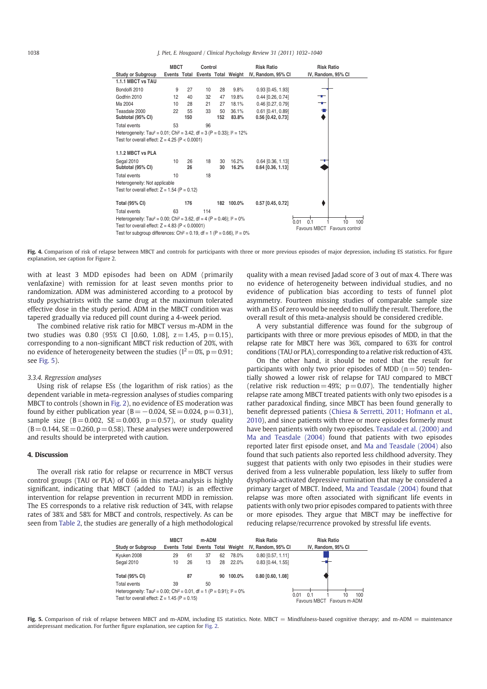|                                                                                                 | <b>MBCT</b> |           | Control |           |                | <b>Risk Ratio</b>                                   | <b>Risk Ratio</b>                   |
|-------------------------------------------------------------------------------------------------|-------------|-----------|---------|-----------|----------------|-----------------------------------------------------|-------------------------------------|
| <b>Study or Subgroup</b>                                                                        |             |           |         |           |                | Events Total Events Total Weight IV, Random, 95% CI | IV, Random, 95% CI                  |
| 1.1.1 MBCT vs TAU                                                                               |             |           |         |           |                |                                                     |                                     |
| Bondolfi 2010                                                                                   | 9           | 27        | 10      | 28        | 9.8%           | $0.93$ $[0.45, 1.93]$                               |                                     |
| Godfrin 2010                                                                                    | 12          | 40        | 32      | 47        | 19.8%          | $0.44$ [0.26, 0.74]                                 | ╼                                   |
| Ma 2004                                                                                         | 10          | 28        | 21      | 27        | 18.1%          | 0.46 [0.27, 0.79]                                   | –∎–                                 |
| Teasdale 2000<br>Subtotal (95% CI)                                                              | 22          | 55<br>150 | 33      | 50<br>152 | 36.1%<br>83.8% | $0.61$ [0.41, 0.89]<br>0.56 [0.42, 0.73]            |                                     |
| Total events                                                                                    | 53          |           | 96      |           |                |                                                     |                                     |
| Heterogeneity: Tau <sup>2</sup> = 0.01; Chi <sup>2</sup> = 3.42, df = 3 (P = 0.33); $l^2$ = 12% |             |           |         |           |                |                                                     |                                     |
| Test for overall effect: $Z = 4.25$ (P < 0.0001)                                                |             |           |         |           |                |                                                     |                                     |
| 1.1.2 MBCT vs PLA                                                                               |             |           |         |           |                |                                                     |                                     |
| Segal 2010<br>Subtotal (95% CI)                                                                 | 10          | 26<br>26  | 18      | 30<br>30  | 16.2%<br>16.2% | $0.64$ [0.36, 1.13]<br>$0.64$ [0.36, 1.13]          |                                     |
| <b>Total events</b>                                                                             | 10          |           | 18      |           |                |                                                     |                                     |
| Heterogeneity: Not applicable                                                                   |             |           |         |           |                |                                                     |                                     |
| Test for overall effect: $Z = 1.54$ (P = 0.12)                                                  |             |           |         |           |                |                                                     |                                     |
| <b>Total (95% CI)</b>                                                                           |             | 176       |         |           | 182 100.0%     | $0.57$ [0.45, 0.72]                                 |                                     |
| <b>Total events</b>                                                                             | 63          |           | 114     |           |                |                                                     |                                     |
| Heterogeneity: Tau <sup>2</sup> = 0.00; Chi <sup>2</sup> = 3.62, df = 4 (P = 0.46); $1^2$ = 0%  |             |           |         |           |                |                                                     | 0.1<br>0.01<br>10                   |
| Test for overall effect: $Z = 4.83$ (P < 0.00001)                                               |             |           |         |           |                |                                                     | 100<br>Favours MBCT Favours control |
| Test for subgroup differences: Chi <sup>2</sup> = 0.19, df = 1 (P = 0.66), $I^2 = 0\%$          |             |           |         |           |                |                                                     |                                     |

Fig. 4. Comparison of risk of relapse between MBCT and controls for participants with three or more previous episodes of major depression, including ES statistics. For figure explanation, see caption for Figure 2.

with at least 3 MDD episodes had been on ADM (primarily venlafaxine) with remission for at least seven months prior to randomization. ADM was administered according to a protocol by study psychiatrists with the same drug at the maximum tolerated effective dose in the study period. ADM in the MBCT condition was tapered gradually via reduced pill count during a 4-week period.

The combined relative risk ratio for MBCT versus m-ADM in the two studies was 0.80 (95% CI [0.60, 1.08],  $z = 1.45$ ,  $p = 0.15$ ), corresponding to a non-significant MBCT risk reduction of 20%, with no evidence of heterogeneity between the studies ( $I^2 = 0\%$ ,  $p = 0.91$ ; see Fig. 5).

#### 3.3.4. Regression analyses

Using risk of relapse ESs (the logarithm of risk ratios) as the dependent variable in meta-regression analyses of studies comparing MBCT to controls (shown in Fig. 2), no evidence of ES moderation was found by either publication year  $(B=-0.024, SE= 0.024, p= 0.31)$ , sample size  $(B= 0.002, \text{ SE} = 0.003, \text{ p} = 0.57)$ , or study quality  $(B= 0.144, SE = 0.260, p = 0.58)$ . These analyses were underpowered and results should be interpreted with caution.

## 4. Discussion

The overall risk ratio for relapse or recurrence in MBCT versus control groups (TAU or PLA) of 0.66 in this meta-analysis is highly significant, indicating that MBCT (added to TAU) is an effective intervention for relapse prevention in recurrent MDD in remission. The ES corresponds to a relative risk reduction of 34%, with relapse rates of 38% and 58% for MBCT and controls, respectively. As can be seen from Table 2, the studies are generally of a high methodological quality with a mean revised Jadad score of 3 out of max 4. There was no evidence of heterogeneity between individual studies, and no evidence of publication bias according to tests of funnel plot asymmetry. Fourteen missing studies of comparable sample size with an ES of zero would be needed to nullify the result. Therefore, the overall result of this meta-analysis should be considered credible.

A very substantial difference was found for the subgroup of participants with three or more previous episodes of MDD, in that the relapse rate for MBCT here was 36%, compared to 63% for control conditions (TAU or PLA), corresponding to a relative risk reduction of 43%.

On the other hand, it should be noted that the result for participants with only two prior episodes of MDD ( $n=50$ ) tendentially showed a lower risk of relapse for TAU compared to MBCT (relative risk reduction  $= 49\%$ ; p $= 0.07$ ). The tendentially higher relapse rate among MBCT treated patients with only two episodes is a rather paradoxical finding, since MBCT has been found generally to benefit depressed patients (Chiesa & Serretti, 2011; Hofmann et al., 2010), and since patients with three or more episodes formerly must have been patients with only two episodes. Teasdale et al. (2000) and Ma and Teasdale (2004) found that patients with two episodes reported later first episode onset, and Ma and Teasdale (2004) also found that such patients also reported less childhood adversity. They suggest that patients with only two episodes in their studies were derived from a less vulnerable population, less likely to suffer from dysphoria-activated depressive rumination that may be considered a primary target of MBCT. Indeed, Ma and Teasdale (2004) found that relapse was more often associated with significant life events in patients with only two prior episodes compared to patients with three or more episodes. They argue that MBCT may be ineffective for reducing relapse/recurrence provoked by stressful life events.



Fig. 5. Comparison of risk of relapse between MBCT and m-ADM, including ES statistics. Note. MBCT = Mindfulness-based cognitive therapy; and m-ADM = maintenance antidepressant medication. For further figure explanation, see caption for Fig. 2.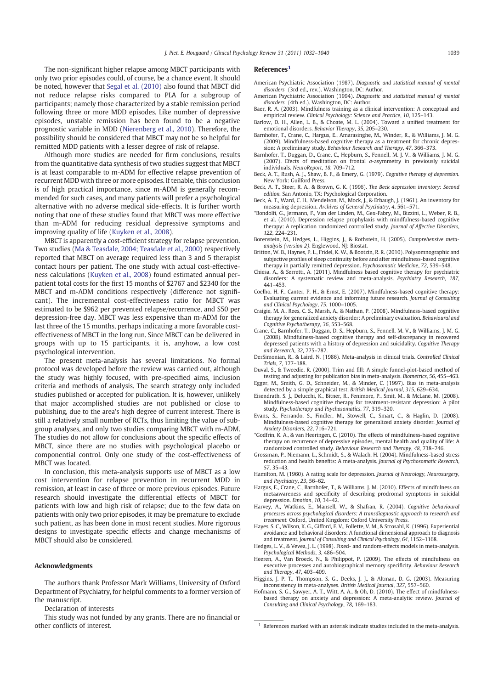The non-significant higher relapse among MBCT participants with only two prior episodes could, of course, be a chance event. It should be noted, however that Segal et al. (2010) also found that MBCT did not reduce relapse risks compared to PLA for a subgroup of participants; namely those characterized by a stable remission period following three or more MDD episodes. Like number of depressive episodes, unstable remission has been found to be a negative prognostic variable in MDD (Nierenberg et al., 2010). Therefore, the possibility should be considered that MBCT may not be so helpful for remitted MDD patients with a lesser degree of risk of relapse.

Although more studies are needed for firm conclusions, results from the quantitative data synthesis of two studies suggest that MBCT is at least comparable to m-ADM for effective relapse prevention of recurrent MDD with three or more episodes. If tenable, this conclusion is of high practical importance, since m-ADM is generally recommended for such cases, and many patients will prefer a psychological alternative with no adverse medical side-effects. It is further worth noting that one of these studies found that MBCT was more effective than m-ADM for reducing residual depressive symptoms and improving quality of life (Kuyken et al., 2008).

MBCT is apparently a cost-efficient strategy for relapse prevention. Two studies (Ma & Teasdale, 2004; Teasdale et al., 2000) respectively reported that MBCT on average required less than 3 and 5 therapist contact hours per patient. The one study with actual cost-effectiveness calculations (Kuyken et al., 2008) found estimated annual perpatient total costs for the first 15 months of \$2767 and \$2340 for the MBCT and m-ADM conditions respectively (difference not significant). The incremental cost-effectiveness ratio for MBCT was estimated to be \$962 per prevented relapse/recurrence, and \$50 per depression-free day. MBCT was less expensive than m-ADM for the last three of the 15 months, perhaps indicating a more favorable costeffectiveness of MBCT in the long run. Since MBCT can be delivered in groups with up to 15 participants, it is, anyhow, a low cost psychological intervention.

The present meta-analysis has several limitations. No formal protocol was developed before the review was carried out, although the study was highly focused, with pre-specified aims, inclusion criteria and methods of analysis. The search strategy only included studies published or accepted for publication. It is, however, unlikely that major accomplished studies are not published or close to publishing, due to the area's high degree of current interest. There is still a relatively small number of RCTs, thus limiting the value of subgroup analyses, and only two studies comparing MBCT with m-ADM. The studies do not allow for conclusions about the specific effects of MBCT, since there are no studies with psychological placebo or componential control. Only one study of the cost-effectiveness of MBCT was located.

In conclusion, this meta-analysis supports use of MBCT as a low cost intervention for relapse prevention in recurrent MDD in remission, at least in case of three or more previous episodes. Future research should investigate the differential effects of MBCT for patients with low and high risk of relapse; due to the few data on patients with only two prior episodes, it may be premature to exclude such patient, as has been done in most recent studies. More rigorous designs to investigate specific effects and change mechanisms of MBCT should also be considered.

#### Acknowledgments

The authors thank Professor Mark Williams, University of Oxford Department of Psychiatry, for helpful comments to a former version of the manuscript.

Declaration of interests

This study was not funded by any grants. There are no financial or other conflicts of interest.

#### References<sup>1</sup>

- American Psychiatric Association (1987). Diagnostic and statistical manual of mental disorders (3rd ed., rev.). Washington, DC: Author.
- American Psychiatric Association (1994). Diagnostic and statistical manual of mental disorders (4th ed.). Washington, DC: Author.
- Baer, R. A. (2003). Mindfulness training as a clinical intervention: A conceptual and empirical review. Clinical Psychology: Science and Practice, 10, 125–143. Barlow, D. H., Allen, L. B., & Choate, M. L. (2004). Toward a unified treatment for
- emotional disorders. Behavior Therapy, 35, 205–230.
- Barnhofer, T., Crane, C., Hargus, E., Amarasinghe, M., Winder, R., & Williams, J. M. G. (2009). Mindfulness-based cognitive therapy as a treatment for chronic depression: A preliminary study. Behaviour Research and Therapy, 47, 366–373.
- Barnhofer, T., Duggan, D., Crane, C., Hepburn, S., Fennell, M. J. V., & Williams, J. M. G. (2007). Efects of meditation on frontal a-asymmetry in previously suicidal individuals. NeuroReport, 18, 709–712.
- Beck, A. T., Rush, A. J., Shaw, B. F., & Emery, G. (1979). Cognitive therapy of depression. New York: Guilford Press.
- Beck, A. T., Steer, R. A., & Brown, G. K. (1996). The Beck depression inventory: Second edition. San Antonio, TX: Psychological Corporation.
- Beck, A. T., Ward, C. H., Mendelson, M., Mock, J., & Erbaugh, J. (1961). An inventory for measuring depression. Archives of General Psychiatry, 4, 561-571.
- \*Bondolfi, G., Jermann, F., Van der Linden, M., Gex-Fabry, M., Bizzini, L., Weber, R. B., et al. (2010). Depression relapse prophylaxis with mindfulness-based cognitive therapy: A replication randomized controlled study. Journal of Affective Disorders, 122, 224–231.
- Borenstein, M., Hedges, L., Higgins, J., & Rothstein, H. (2005). Comprehensive meta-analysis (version 2). Englewood, NJ: Biostat.
- Britton, W. B., Haynes, P. L., Fridel, K. W., & Bootzin, R. R. (2010). Polysomnographic and subjective profiles of sleep continuity before and after mindfulness-based cognitive therapy in partially remitted depression. Psychosomatic Medicine, 72, 539–548.
- Chiesa, A., & Serretti, A. (2011). Mindfulness based cognitive therapy for psychiatric disorders: A systematic review and meta-analysis. Psychiatry Research, 187, 441–453.
- Coelho, H. F., Canter, P. H., & Ernst, E. (2007). Mindfulness-based cognitive therapy: Evaluating current evidence and informing future research. Journal of Consulting and Clinical Psychology, 75, 1000–1005.
- Craigie, M. A., Rees, C. S., Marsh, A., & Nathan, P. (2008). Mindfulness-based cognitive therapy for generalized anxiety disorder: A preliminary evaluation. Behavioural and Cognitive Psychotherapy, 36, 553–568.
- Crane, C., Barnhofer, T., Duggan, D. S., Hepburn, S., Fennell, M. V., & Williams, J. M. G. (2008). Mindfulness-based cognitive therapy and self-discrepancy in recovered depressed patients with a history of depression and suicidality. Cognitive Therapy and Research, 32, 775–787.
- DerSimonian, R., & Laird, N. (1986). Meta-analysis in clinical trials. Controlled Clinical Trials, 7, 177–188.
- Duval, S., & Tweedie, R. (2000). Trim and fill: A simple funnel-plot-based method of testing and adjusting for publication bias in meta-analysis. Biometrics, 56, 455–463.
- Egger, M., Smith, G. D., Schneider, M., & Minder, C. (1997). Bias in meta-analysis detected by a simple graphical test. British Medical Journal, 315, 629–634.
- Eisendrath, S. J., Delucchi, K., Bitner, R., Fenimore, P., Smit, M., & McLane, M. (2008). Mindfulness-based cognitive therapy for treatment-resistant depression: A pilot study. Psychotherapy and Psychosomatics, 77, 319–320.
- Evans, S., Ferrando, S., Findler, M., Stowell, C., Smart, C., & Haglin, D. (2008). Mindfulness-based cognitive therapy for generalized anxiety disorder. Journal of Anxiety Disorders, 22, 716–721.
- \*Godfrin, K. A., & van Heeringen, C. (2010). The effects of mindfulness-based cognitive therapy on recurrence of depressive episodes, mental health and quality of life: A randomized controlled study. Behaviour Research and Therapy, 48, 738–746.
- Grossman, P., Niemann, L., Schmidt, S., & Walach, H. (2004). Mindfulness-based stress reduction and health benefits: A meta-analysis. Journal of Psychosomatic Research, 57, 35–43.
- Hamilton, M. (1960). A rating scale for depression. Journal of Neurology, Neurosurgery, and Psychiatry, 23, 56–62.
- Hargus, E., Crane, C., Barnhofer, T., & Williams, J. M. (2010). Effects of mindfulness on metaawareness and specificity of describing prodromal symptoms in suicidal depression. Emotion, 10, 34–42.
- Harvey, A., Watkins, E., Mansell, W., & Shafran, R. (2004). Cognitive behavioural processes across psychological disorders: A transdiagnostic approach to research and
- treatment. Oxford, United Kingdom: Oxford University Press. Hayes, S. C., Wilson, K. G., Gifford, E. V., Follette, V. M., & Strosahl, K. (1996). Experiential avoidance and behavioral disorders: A functional dimensional approach to diagnosis and treatment. Journal of Consulting and Clinical Psychology, 64, 1152–1168.
- Hedges, L. V., & Vevea, J. L. (1998). Fixed- and random-effects models in meta-analysis. Psychological Methods, 3, 486–504.
- Heeren, A., Van Broeck, N., & Philippot, P. (2009). The effects of mindfulness on executive processes and autobiographical memory specificity. Behaviour Research and Therapy, 47, 403–409. Higgins, J. P. T., Thompson, S. G., Deeks, J. J., & Altman, D. G. (2003). Measuring
- inconsistency in meta-analyses. British Medical Journal, 327, 557–560.
- Hofmann, S. G., Sawyer, A. T., Witt, A. A., & Oh, D. (2010). The effect of mindfulnessbased therapy on anxiety and depression: A meta-analytic review. Journal of Consulting and Clinical Psychology, 78, 169–183.

References marked with an asterisk indicate studies included in the meta-analysis.